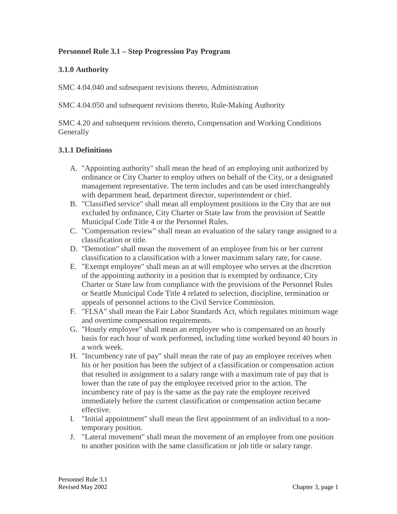### **Personnel Rule 3.1 – Step Progression Pay Program**

### **3.1.0 Authority**

SMC 4.04.040 and subsequent revisions thereto, Administration

SMC 4.04.050 and subsequent revisions thereto, Rule-Making Authority

SMC 4.20 and subsequent revisions thereto, Compensation and Working Conditions **Generally** 

### **3.1.1 Definitions**

- A. "Appointing authority" shall mean the head of an employing unit authorized by ordinance or City Charter to employ others on behalf of the City, or a designated management representative. The term includes and can be used interchangeably with department head, department director, superintendent or chief.
- B. "Classified service" shall mean all employment positions in the City that are not excluded by ordinance, City Charter or State law from the provision of Seattle Municipal Code Title 4 or the Personnel Rules.
- C. "Compensation review" shall mean an evaluation of the salary range assigned to a classification or title.
- D. "Demotion" shall mean the movement of an employee from his or her current classification to a classification with a lower maximum salary rate, for cause.
- E. "Exempt employee" shall mean an at will employee who serves at the discretion of the appointing authority in a position that is exempted by ordinance, City Charter or State law from compliance with the provisions of the Personnel Rules or Seattle Municipal Code Title 4 related to selection, discipline, termination or appeals of personnel actions to the Civil Service Commission.
- F. "FLSA" shall mean the Fair Labor Standards Act, which regulates minimum wage and overtime compensation requirements.
- G. "Hourly employee" shall mean an employee who is compensated on an hourly basis for each hour of work performed, including time worked beyond 40 hours in a work week.
- H. "Incumbency rate of pay" shall mean the rate of pay an employee receives when his or her position has been the subject of a classification or compensation action that resulted in assignment to a salary range with a maximum rate of pay that is lower than the rate of pay the employee received prior to the action. The incumbency rate of pay is the same as the pay rate the employee received immediately before the current classification or compensation action became effective.
- I. "Initial appointment" shall mean the first appointment of an individual to a nontemporary position.
- J. "Lateral movement" shall mean the movement of an employee from one position to another position with the same classification or job title or salary range.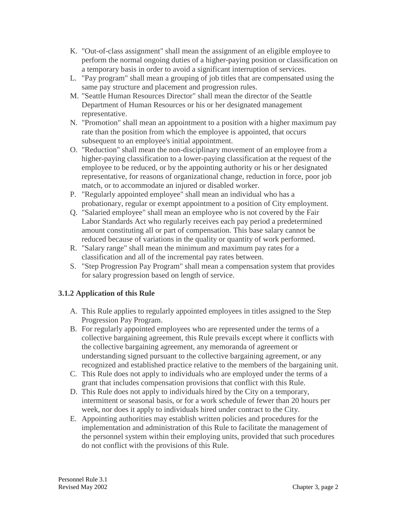- K. "Out-of-class assignment" shall mean the assignment of an eligible employee to perform the normal ongoing duties of a higher-paying position or classification on a temporary basis in order to avoid a significant interruption of services.
- L. "Pay program" shall mean a grouping of job titles that are compensated using the same pay structure and placement and progression rules.
- M. "Seattle Human Resources Director" shall mean the director of the Seattle Department of Human Resources or his or her designated management representative.
- N. "Promotion" shall mean an appointment to a position with a higher maximum pay rate than the position from which the employee is appointed, that occurs subsequent to an employee's initial appointment.
- O. "Reduction" shall mean the non-disciplinary movement of an employee from a higher-paying classification to a lower-paying classification at the request of the employee to be reduced, or by the appointing authority or his or her designated representative, for reasons of organizational change, reduction in force, poor job match, or to accommodate an injured or disabled worker.
- P. "Regularly appointed employee" shall mean an individual who has a probationary, regular or exempt appointment to a position of City employment.
- Q. "Salaried employee" shall mean an employee who is not covered by the Fair Labor Standards Act who regularly receives each pay period a predetermined amount constituting all or part of compensation. This base salary cannot be reduced because of variations in the quality or quantity of work performed.
- R. "Salary range" shall mean the minimum and maximum pay rates for a classification and all of the incremental pay rates between.
- S. "Step Progression Pay Program" shall mean a compensation system that provides for salary progression based on length of service.

# **3.1.2 Application of this Rule**

- A. This Rule applies to regularly appointed employees in titles assigned to the Step Progression Pay Program.
- B. For regularly appointed employees who are represented under the terms of a collective bargaining agreement, this Rule prevails except where it conflicts with the collective bargaining agreement, any memoranda of agreement or understanding signed pursuant to the collective bargaining agreement, or any recognized and established practice relative to the members of the bargaining unit.
- C. This Rule does not apply to individuals who are employed under the terms of a grant that includes compensation provisions that conflict with this Rule.
- D. This Rule does not apply to individuals hired by the City on a temporary, intermittent or seasonal basis, or for a work schedule of fewer than 20 hours per week, nor does it apply to individuals hired under contract to the City.
- E. Appointing authorities may establish written policies and procedures for the implementation and administration of this Rule to facilitate the management of the personnel system within their employing units, provided that such procedures do not conflict with the provisions of this Rule.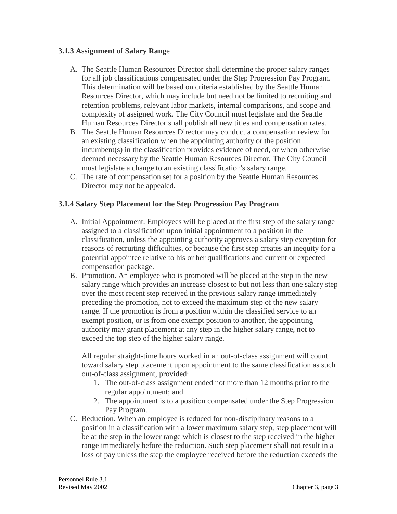### **3.1.3 Assignment of Salary Rang**e

- A. The Seattle Human Resources Director shall determine the proper salary ranges for all job classifications compensated under the Step Progression Pay Program. This determination will be based on criteria established by the Seattle Human Resources Director, which may include but need not be limited to recruiting and retention problems, relevant labor markets, internal comparisons, and scope and complexity of assigned work. The City Council must legislate and the Seattle Human Resources Director shall publish all new titles and compensation rates.
- B. The Seattle Human Resources Director may conduct a compensation review for an existing classification when the appointing authority or the position incumbent(s) in the classification provides evidence of need, or when otherwise deemed necessary by the Seattle Human Resources Director. The City Council must legislate a change to an existing classification's salary range.
- C. The rate of compensation set for a position by the Seattle Human Resources Director may not be appealed.

### **3.1.4 Salary Step Placement for the Step Progression Pay Program**

- A. Initial Appointment. Employees will be placed at the first step of the salary range assigned to a classification upon initial appointment to a position in the classification, unless the appointing authority approves a salary step exception for reasons of recruiting difficulties, or because the first step creates an inequity for a potential appointee relative to his or her qualifications and current or expected compensation package.
- B. Promotion. An employee who is promoted will be placed at the step in the new salary range which provides an increase closest to but not less than one salary step over the most recent step received in the previous salary range immediately preceding the promotion, not to exceed the maximum step of the new salary range. If the promotion is from a position within the classified service to an exempt position, or is from one exempt position to another, the appointing authority may grant placement at any step in the higher salary range, not to exceed the top step of the higher salary range.

All regular straight-time hours worked in an out-of-class assignment will count toward salary step placement upon appointment to the same classification as such out-of-class assignment, provided:

- 1. The out-of-class assignment ended not more than 12 months prior to the regular appointment; and
- 2. The appointment is to a position compensated under the Step Progression Pay Program.
- C. Reduction. When an employee is reduced for non-disciplinary reasons to a position in a classification with a lower maximum salary step, step placement will be at the step in the lower range which is closest to the step received in the higher range immediately before the reduction. Such step placement shall not result in a loss of pay unless the step the employee received before the reduction exceeds the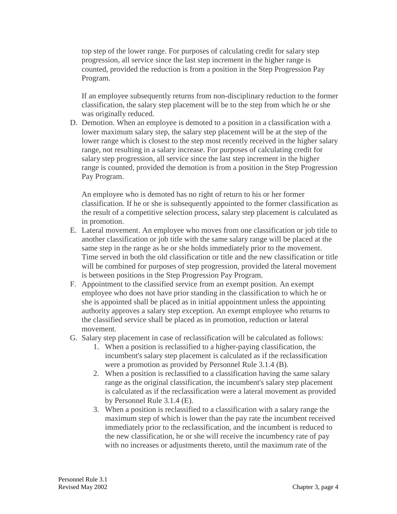top step of the lower range. For purposes of calculating credit for salary step progression, all service since the last step increment in the higher range is counted, provided the reduction is from a position in the Step Progression Pay Program.

If an employee subsequently returns from non-disciplinary reduction to the former classification, the salary step placement will be to the step from which he or she was originally reduced.

D. Demotion. When an employee is demoted to a position in a classification with a lower maximum salary step, the salary step placement will be at the step of the lower range which is closest to the step most recently received in the higher salary range, not resulting in a salary increase. For purposes of calculating credit for salary step progression, all service since the last step increment in the higher range is counted, provided the demotion is from a position in the Step Progression Pay Program.

An employee who is demoted has no right of return to his or her former classification. If he or she is subsequently appointed to the former classification as the result of a competitive selection process, salary step placement is calculated as in promotion.

- E. Lateral movement. An employee who moves from one classification or job title to another classification or job title with the same salary range will be placed at the same step in the range as he or she holds immediately prior to the movement. Time served in both the old classification or title and the new classification or title will be combined for purposes of step progression, provided the lateral movement is between positions in the Step Progression Pay Program.
- F. Appointment to the classified service from an exempt position. An exempt employee who does not have prior standing in the classification to which he or she is appointed shall be placed as in initial appointment unless the appointing authority approves a salary step exception. An exempt employee who returns to the classified service shall be placed as in promotion, reduction or lateral movement.
- G. Salary step placement in case of reclassification will be calculated as follows:
	- 1. When a position is reclassified to a higher-paying classification, the incumbent's salary step placement is calculated as if the reclassification were a promotion as provided by Personnel Rule 3.1.4 (B).
	- 2. When a position is reclassified to a classification having the same salary range as the original classification, the incumbent's salary step placement is calculated as if the reclassification were a lateral movement as provided by Personnel Rule 3.1.4 (E).
	- 3. When a position is reclassified to a classification with a salary range the maximum step of which is lower than the pay rate the incumbent received immediately prior to the reclassification, and the incumbent is reduced to the new classification, he or she will receive the incumbency rate of pay with no increases or adjustments thereto, until the maximum rate of the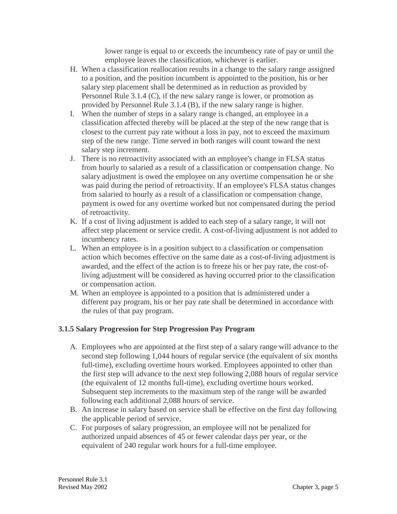lower range is equal to or exceeds the incumbency rate of pay or until the employee leaves the classification, whichever is earlier.

- H. When a classification reallocation results in a change to the salary range assigned to a position, and the position incumbent is appointed to the position, his or her salary step placement shall be determined as in reduction as provided by Personnel Rule 3.1.4 (C), if the new salary range is lower, or promotion as provided by Personnel Rule 3.1.4 (B), if the new salary range is higher.
- I. When the number of steps in a salary range is changed, an employee in a classification affected thereby will be placed at the step of the new range that is closest to the current pay rate without a loss in pay, not to exceed the maximum step of the new range. Time served in both ranges will count toward the next salary step increment.
- J. There is no retroactivity associated with an employee's change in FLSA status from hourly to salaried as a result of a classification or compensation change. No salary adjustment is owed the employee on any overtime compensation he or she was paid during the period of retroactivity. If an employee's FLSA status changes from salaried to hourly as a result of a classification or compensation change, payment is owed for any overtime worked but not compensated during the period of retroactivity.
- K. If a cost of living adjustment is added to each step of a salary range, it will not affect step placement or service credit. A cost-of-living adjustment is not added to incumbency rates.
- L. When an employee is in a position subject to a classification or compensation action which becomes effective on the same date as a cost-of-living adjustment is awarded, and the effect of the action is to freeze his or her pay rate, the cost-ofliving adjustment will be considered as having occurred prior to the classification or compensation action.
- M. When an employee is appointed to a position that is administered under a different pay program, his or her pay rate shall be determined in accordance with the rules of that pay program.

# **3.1.5 Salary Progression for Step Progression Pay Program**

- A. Employees who are appointed at the first step of a salary range will advance to the second step following 1,044 hours of regular service (the equivalent of six months full-time), excluding overtime hours worked. Employees appointed to other than the first step will advance to the next step following 2,088 hours of regular service (the equivalent of 12 months full-time), excluding overtime hours worked. Subsequent step increments to the maximum step of the range will be awarded following each additional 2,088 hours of service.
- B. An increase in salary based on service shall be effective on the first day following the applicable period of service.
- C. For purposes of salary progression, an employee will not be penalized for authorized unpaid absences of 45 or fewer calendar days per year, or the equivalent of 240 regular work hours for a full-time employee.